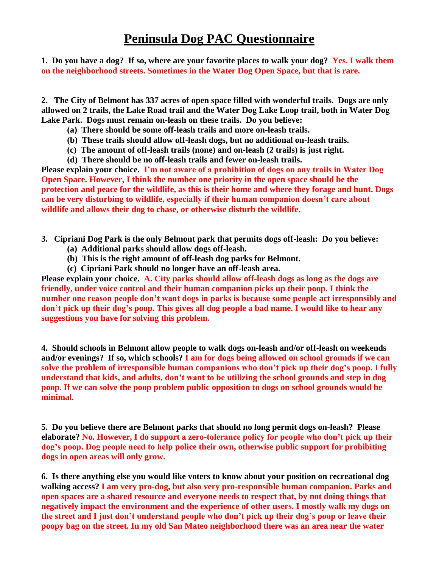**1. Do you have a dog? If so, where are your favorite places to walk your dog? Yes. I walk them on the neighborhood streets. Sometimes in the Water Dog Open Space, but that is rare.**

**2. The City of Belmont has 337 acres of open space filled with wonderful trails. Dogs are only allowed on 2 trails, the Lake Road trail and the Water Dog Lake Loop trail, both in Water Dog Lake Park. Dogs must remain on-leash on these trails. Do you believe:**

- **(a) There should be some off-leash trails and more on-leash trails.**
- **(b) These trails should allow off-leash dogs, but no additional on-leash trails.**
- **(c) The amount of off-leash trails (none) and on-leash (2 trails) is just right.**
- **(d) There should be no off-leash trails and fewer on-leash trails.**

**Please explain your choice. I'm not aware of a prohibition of dogs on any trails in Water Dog Open Space. However, I think the number one priority in the open space should be the protection and peace for the wildlife, as this is their home and where they forage and hunt. Dogs can be very disturbing to wildlife, especially if their human companion doesn't care about wildlife and allows their dog to chase, or otherwise disturb the wildlife.**

- **3. Cipriani Dog Park is the only Belmont park that permits dogs off-leash: Do you believe:**
	- **(a) Additional parks should allow dogs off-leash.**
	- **(b) This is the right amount of off-leash dog parks for Belmont.**
	- **(c) Cipriani Park should no longer have an off-leash area.**

**Please explain your choice. A. City parks should allow off-leash dogs as long as the dogs are friendly, under voice control and their human companion picks up their poop. I think the number one reason people don't want dogs in parks is because some people act irresponsibly and don't pick up their dog's poop. This gives all dog people a bad name. I would like to hear any suggestions you have for solving this problem.**

**4. Should schools in Belmont allow people to walk dogs on-leash and/or off-leash on weekends and/or evenings? If so, which schools? I am for dogs being allowed on school grounds if we can solve the problem of irresponsible human companions who don't pick up their dog's poop. I fully understand that kids, and adults, don't want to be utilizing the school grounds and step in dog poop. If we can solve the poop problem public opposition to dogs on school grounds would be minimal.**

**5. Do you believe there are Belmont parks that should no long permit dogs on-leash? Please elaborate? No. However, I do support a zero-tolerance policy for people who don't pick up their dog's poop. Dog people need to help police their own, otherwise public support for prohibiting dogs in open areas will only grow.** 

**6. Is there anything else you would like voters to know about your position on recreational dog walking access? I am very pro-dog, but also very pro-responsible human companion. Parks and open spaces are a shared resource and everyone needs to respect that, by not doing things that negatively impact the environment and the experience of other users. I mostly walk my dogs on the street and I just don't understand people who don't pick up their dog's poop or leave their poopy bag on the street. In my old San Mateo neighborhood there was an area near the water**